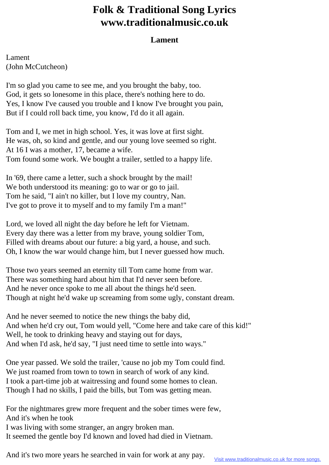## **Folk & Traditional Song Lyrics www.traditionalmusic.co.uk**

## **Lament**

Lament (John McCutcheon)

I'm so glad you came to see me, and you brought the baby, too. God, it gets so lonesome in this place, there's nothing here to do. Yes, I know I've caused you trouble and I know I've brought you pain, But if I could roll back time, you know, I'd do it all again.

Tom and I, we met in high school. Yes, it was love at first sight. He was, oh, so kind and gentle, and our young love seemed so right. At 16 I was a mother, 17, became a wife. Tom found some work. We bought a trailer, settled to a happy life.

In '69, there came a letter, such a shock brought by the mail! We both understood its meaning: go to war or go to jail. Tom he said, "I ain't no killer, but I love my country, Nan. I've got to prove it to myself and to my family I'm a man!"

Lord, we loved all night the day before he left for Vietnam. Every day there was a letter from my brave, young soldier Tom, Filled with dreams about our future: a big yard, a house, and such. Oh, I know the war would change him, but I never guessed how much.

Those two years seemed an eternity till Tom came home from war. There was something hard about him that I'd never seen before. And he never once spoke to me all about the things he'd seen. Though at night he'd wake up screaming from some ugly, constant dream.

And he never seemed to notice the new things the baby did, And when he'd cry out, Tom would yell, "Come here and take care of this kid!" Well, he took to drinking heavy and staying out for days, And when I'd ask, he'd say, "I just need time to settle into ways."

One year passed. We sold the trailer, 'cause no job my Tom could find. We just roamed from town to town in search of work of any kind. I took a part-time job at waitressing and found some homes to clean. Though I had no skills, I paid the bills, but Tom was getting mean.

For the nightmares grew more frequent and the sober times were few, And it's when he took I was living with some stranger, an angry broken man. It seemed the gentle boy I'd known and loved had died in Vietnam.

And it's two more years he searched in vain for work at any pay.